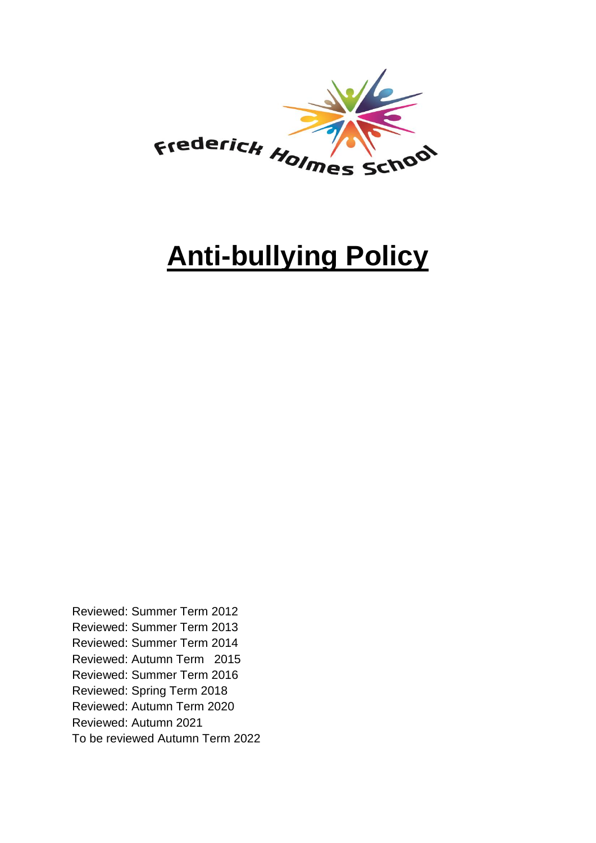

# **Anti-bullying Policy**

Reviewed: Summer Term 2012 Reviewed: Summer Term 2013 Reviewed: Summer Term 2014 Reviewed: Autumn Term 2015 Reviewed: Summer Term 2016 Reviewed: Spring Term 2018 Reviewed: Autumn Term 2020 Reviewed: Autumn 2021 To be reviewed Autumn Term 2022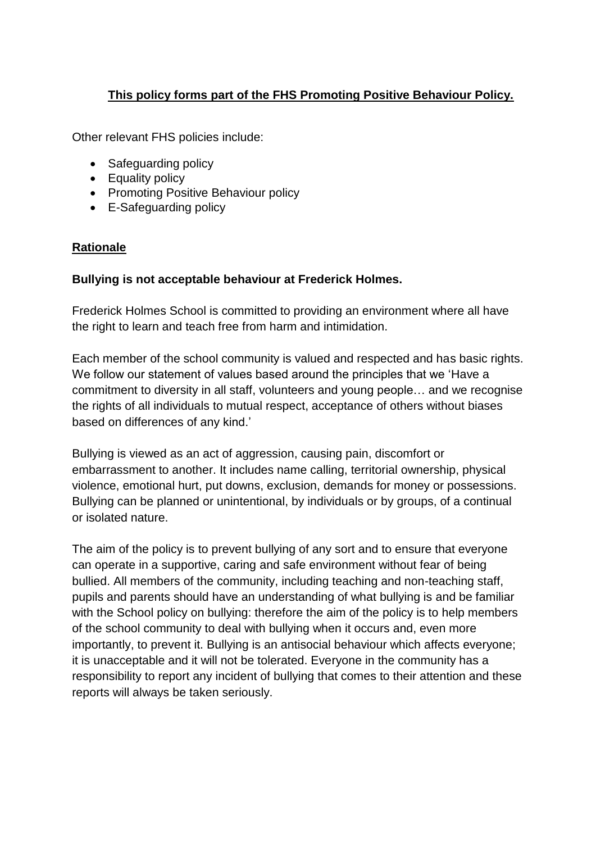# **This policy forms part of the FHS Promoting Positive Behaviour Policy.**

Other relevant FHS policies include:

- Safeguarding policy
- Equality policy
- Promoting Positive Behaviour policy
- E-Safeguarding policy

#### **Rationale**

#### **Bullying is not acceptable behaviour at Frederick Holmes.**

Frederick Holmes School is committed to providing an environment where all have the right to learn and teach free from harm and intimidation.

Each member of the school community is valued and respected and has basic rights. We follow our statement of values based around the principles that we 'Have a commitment to diversity in all staff, volunteers and young people… and we recognise the rights of all individuals to mutual respect, acceptance of others without biases based on differences of any kind.'

Bullying is viewed as an act of aggression, causing pain, discomfort or embarrassment to another. It includes name calling, territorial ownership, physical violence, emotional hurt, put downs, exclusion, demands for money or possessions. Bullying can be planned or unintentional, by individuals or by groups, of a continual or isolated nature.

The aim of the policy is to prevent bullying of any sort and to ensure that everyone can operate in a supportive, caring and safe environment without fear of being bullied. All members of the community, including teaching and non-teaching staff, pupils and parents should have an understanding of what bullying is and be familiar with the School policy on bullying: therefore the aim of the policy is to help members of the school community to deal with bullying when it occurs and, even more importantly, to prevent it. Bullying is an antisocial behaviour which affects everyone; it is unacceptable and it will not be tolerated. Everyone in the community has a responsibility to report any incident of bullying that comes to their attention and these reports will always be taken seriously.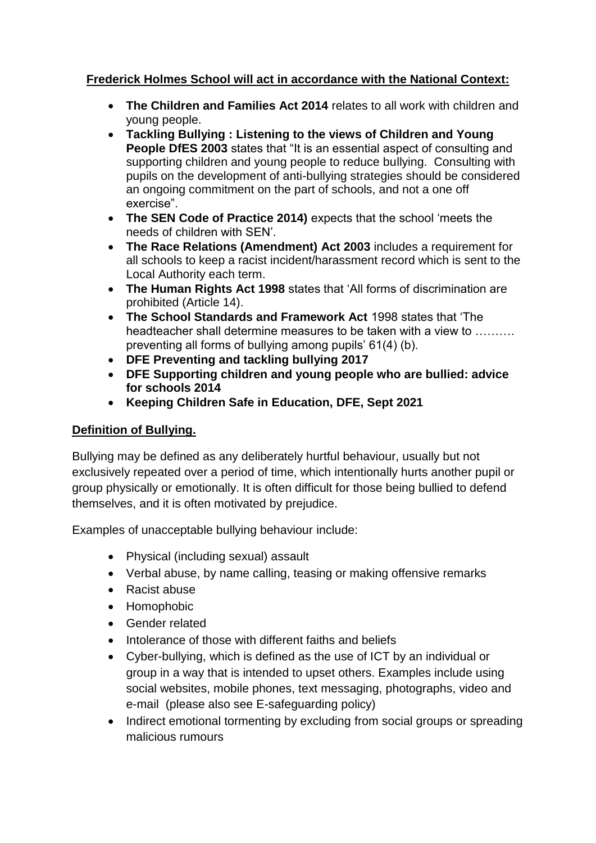# **Frederick Holmes School will act in accordance with the National Context:**

- **The Children and Families Act 2014** relates to all work with children and young people.
- **Tackling Bullying : Listening to the views of Children and Young People DfES 2003** states that "It is an essential aspect of consulting and supporting children and young people to reduce bullying. Consulting with pupils on the development of anti-bullying strategies should be considered an ongoing commitment on the part of schools, and not a one off exercise".
- **The SEN Code of Practice 2014)** expects that the school 'meets the needs of children with SEN'.
- **The Race Relations (Amendment) Act 2003** includes a requirement for all schools to keep a racist incident/harassment record which is sent to the Local Authority each term.
- **The Human Rights Act 1998** states that 'All forms of discrimination are prohibited (Article 14).
- **The School Standards and Framework Act** 1998 states that 'The headteacher shall determine measures to be taken with a view to ………. preventing all forms of bullying among pupils' 61(4) (b).
- **DFE Preventing and tackling bullying 2017**
- **DFE Supporting children and young people who are bullied: advice for schools 2014**
- **Keeping Children Safe in Education, DFE, Sept 2021**

### **Definition of Bullying.**

Bullying may be defined as any deliberately hurtful behaviour, usually but not exclusively repeated over a period of time, which intentionally hurts another pupil or group physically or emotionally. It is often difficult for those being bullied to defend themselves, and it is often motivated by prejudice.

Examples of unacceptable bullying behaviour include:

- Physical (including sexual) assault
- Verbal abuse, by name calling, teasing or making offensive remarks
- Racist abuse
- Homophobic
- Gender related
- Intolerance of those with different faiths and beliefs
- Cyber-bullying, which is defined as the use of ICT by an individual or group in a way that is intended to upset others. Examples include using social websites, mobile phones, text messaging, photographs, video and e-mail (please also see E-safeguarding policy)
- Indirect emotional tormenting by excluding from social groups or spreading malicious rumours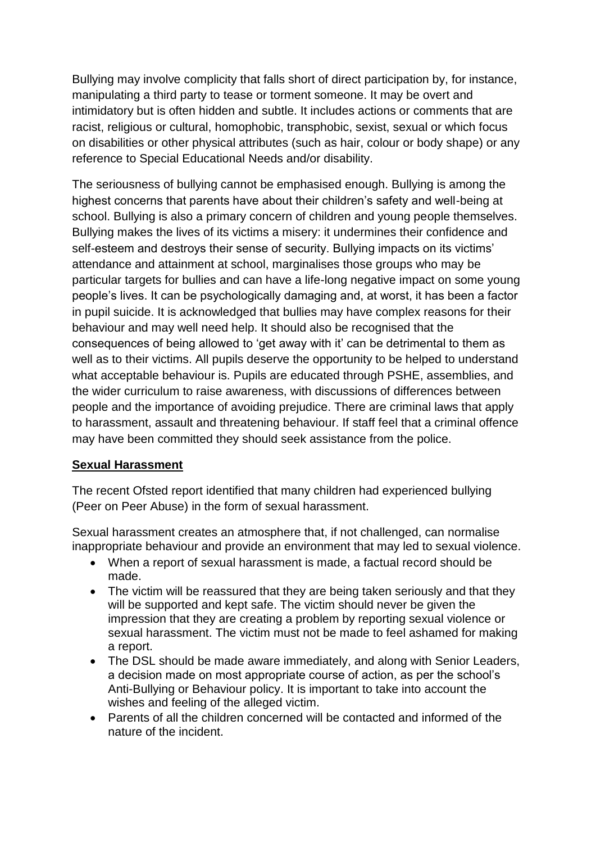Bullying may involve complicity that falls short of direct participation by, for instance, manipulating a third party to tease or torment someone. It may be overt and intimidatory but is often hidden and subtle. It includes actions or comments that are racist, religious or cultural, homophobic, transphobic, sexist, sexual or which focus on disabilities or other physical attributes (such as hair, colour or body shape) or any reference to Special Educational Needs and/or disability.

The seriousness of bullying cannot be emphasised enough. Bullying is among the highest concerns that parents have about their children's safety and well-being at school. Bullying is also a primary concern of children and young people themselves. Bullying makes the lives of its victims a misery: it undermines their confidence and self-esteem and destroys their sense of security. Bullying impacts on its victims' attendance and attainment at school, marginalises those groups who may be particular targets for bullies and can have a life-long negative impact on some young people's lives. It can be psychologically damaging and, at worst, it has been a factor in pupil suicide. It is acknowledged that bullies may have complex reasons for their behaviour and may well need help. It should also be recognised that the consequences of being allowed to 'get away with it' can be detrimental to them as well as to their victims. All pupils deserve the opportunity to be helped to understand what acceptable behaviour is. Pupils are educated through PSHE, assemblies, and the wider curriculum to raise awareness, with discussions of differences between people and the importance of avoiding prejudice. There are criminal laws that apply to harassment, assault and threatening behaviour. If staff feel that a criminal offence may have been committed they should seek assistance from the police.

### **Sexual Harassment**

The recent Ofsted report identified that many children had experienced bullying (Peer on Peer Abuse) in the form of sexual harassment.

Sexual harassment creates an atmosphere that, if not challenged, can normalise inappropriate behaviour and provide an environment that may led to sexual violence.

- When a report of sexual harassment is made, a factual record should be made.
- The victim will be reassured that they are being taken seriously and that they will be supported and kept safe. The victim should never be given the impression that they are creating a problem by reporting sexual violence or sexual harassment. The victim must not be made to feel ashamed for making a report.
- The DSL should be made aware immediately, and along with Senior Leaders, a decision made on most appropriate course of action, as per the school's Anti-Bullying or Behaviour policy. It is important to take into account the wishes and feeling of the alleged victim.
- Parents of all the children concerned will be contacted and informed of the nature of the incident.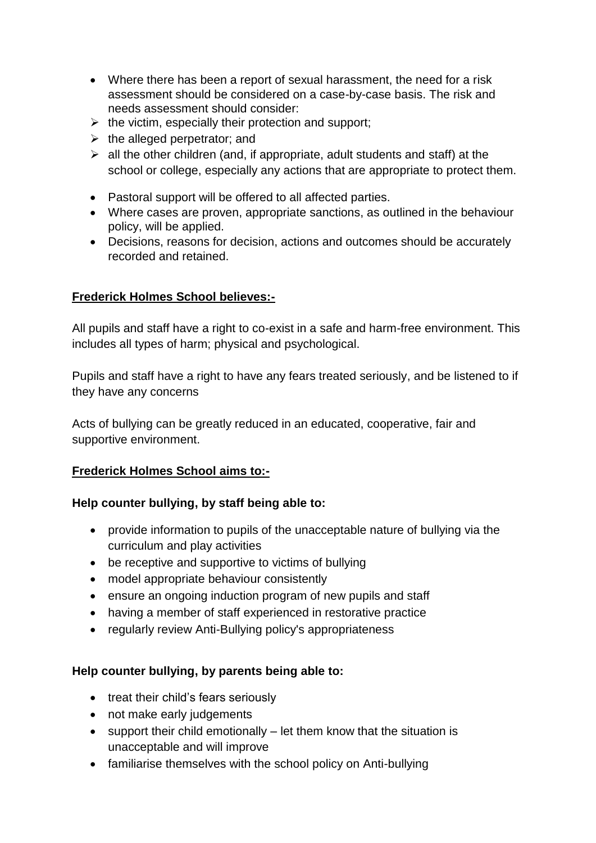- Where there has been a report of sexual harassment, the need for a risk assessment should be considered on a case-by-case basis. The risk and needs assessment should consider:
- $\triangleright$  the victim, especially their protection and support;
- $\triangleright$  the alleged perpetrator; and
- $\triangleright$  all the other children (and, if appropriate, adult students and staff) at the school or college, especially any actions that are appropriate to protect them.
- Pastoral support will be offered to all affected parties.
- Where cases are proven, appropriate sanctions, as outlined in the behaviour policy, will be applied.
- Decisions, reasons for decision, actions and outcomes should be accurately recorded and retained.

### **Frederick Holmes School believes:-**

All pupils and staff have a right to co-exist in a safe and harm-free environment. This includes all types of harm; physical and psychological.

Pupils and staff have a right to have any fears treated seriously, and be listened to if they have any concerns

Acts of bullying can be greatly reduced in an educated, cooperative, fair and supportive environment.

### **Frederick Holmes School aims to:-**

### **Help counter bullying, by staff being able to:**

- provide information to pupils of the unacceptable nature of bullying via the curriculum and play activities
- be receptive and supportive to victims of bullying
- model appropriate behaviour consistently
- ensure an ongoing induction program of new pupils and staff
- having a member of staff experienced in restorative practice
- regularly review Anti-Bullying policy's appropriateness

### **Help counter bullying, by parents being able to:**

- treat their child's fears seriously
- not make early judgements
- support their child emotionally let them know that the situation is unacceptable and will improve
- familiarise themselves with the school policy on Anti-bullying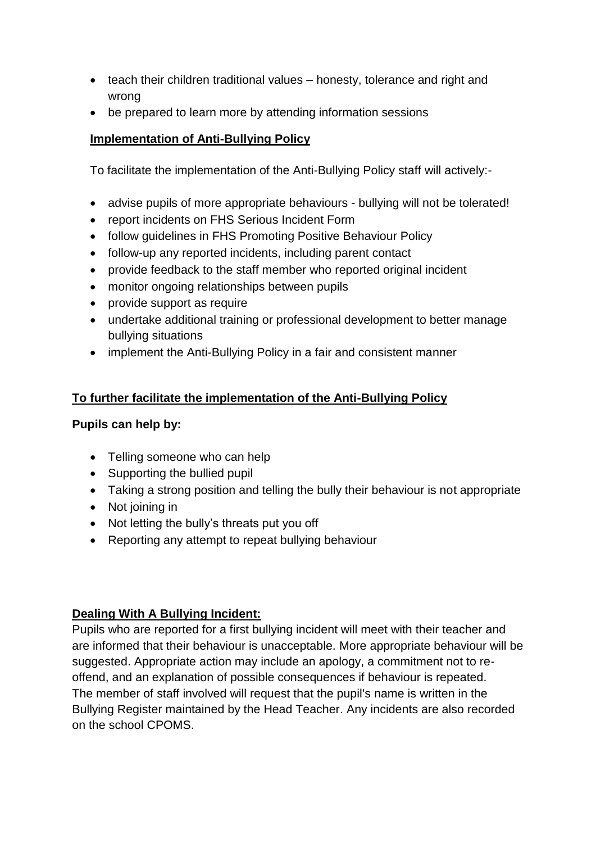- teach their children traditional values honesty, tolerance and right and wrong
- be prepared to learn more by attending information sessions

# **Implementation of Anti-Bullying Policy**

To facilitate the implementation of the Anti-Bullying Policy staff will actively:-

- advise pupils of more appropriate behaviours bullying will not be tolerated!
- report incidents on FHS Serious Incident Form
- follow guidelines in FHS Promoting Positive Behaviour Policy
- follow-up any reported incidents, including parent contact
- provide feedback to the staff member who reported original incident
- monitor ongoing relationships between pupils
- provide support as require
- undertake additional training or professional development to better manage bullying situations
- implement the Anti-Bullying Policy in a fair and consistent manner

# **To further facilitate the implementation of the Anti-Bullying Policy**

## **Pupils can help by:**

- Telling someone who can help
- Supporting the bullied pupil
- Taking a strong position and telling the bully their behaviour is not appropriate
- Not joining in
- Not letting the bully's threats put you off
- Reporting any attempt to repeat bullying behaviour

### **Dealing With A Bullying Incident:**

Pupils who are reported for a first bullying incident will meet with their teacher and are informed that their behaviour is unacceptable. More appropriate behaviour will be suggested. Appropriate action may include an apology, a commitment not to reoffend, and an explanation of possible consequences if behaviour is repeated. The member of staff involved will request that the pupil's name is written in the Bullying Register maintained by the Head Teacher. Any incidents are also recorded on the school CPOMS.